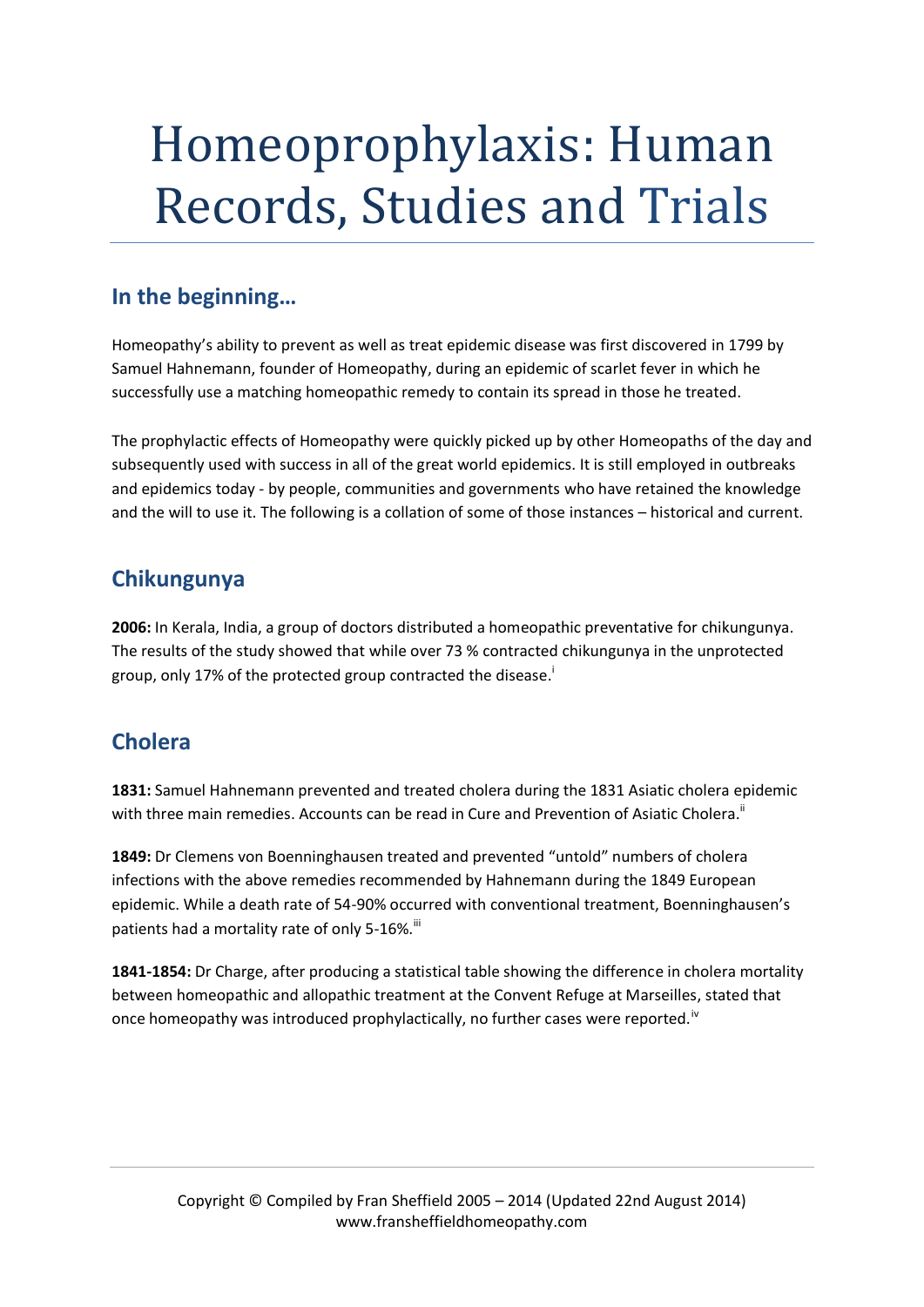# Homeoprophylaxis: Human Records, Studies and Trials

# **In the beginning…**

Homeopathy's ability to prevent as well as treat epidemic disease was first discovered in 1799 by Samuel Hahnemann, founder of Homeopathy, during an epidemic of scarlet fever in which he successfully use a matching homeopathic remedy to contain its spread in those he treated.

The prophylactic effects of Homeopathy were quickly picked up by other Homeopaths of the day and subsequently used with success in all of the great world epidemics. It is still employed in outbreaks and epidemics today - by people, communities and governments who have retained the knowledge and the will to use it. The following is a collation of some of those instances – historical and current.

## **Chikungunya**

**2006:** In Kerala, India, a group of doctors distributed a homeopathic preventative for chikungunya. The results of the study showed that while over 73 % contracted chikungunya in the unprotected group, only 17% of the protected group contracted the disease. i

# **Cholera**

**1831:** Samuel Hahnemann prevented and treated cholera during the 1831 Asiatic cholera epidemic with three main remedies. Accounts can be read in Cure and Prevention of Asiatic Cholera.<sup>ii</sup>

**1849:** Dr Clemens von Boenninghausen treated and prevented "untold" numbers of cholera infections with the above remedies recommended by Hahnemann during the 1849 European epidemic. While a death rate of 54-90% occurred with conventional treatment, Boenninghausen's patients had a mortality rate of only 5-16%.

**1841-1854:** Dr Charge, after producing a statistical table showing the difference in cholera mortality between homeopathic and allopathic treatment at the Convent Refuge at Marseilles, stated that once homeopathy was introduced prophylactically, no further cases were reported.<sup>iv</sup>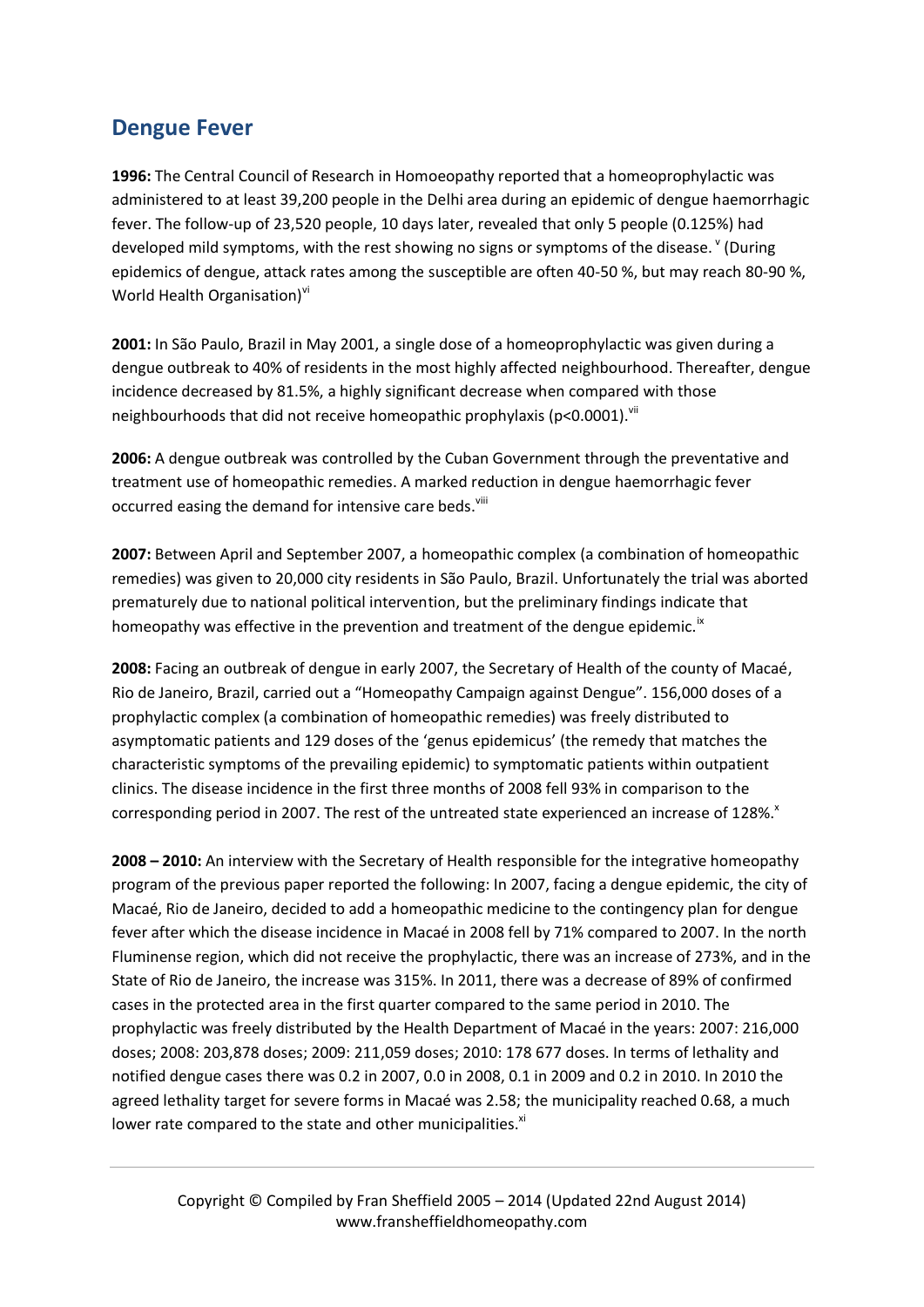#### **Dengue Fever**

**1996:** The Central Council of Research in Homoeopathy reported that a homeoprophylactic was administered to at least 39,200 people in the Delhi area during an epidemic of dengue haemorrhagic fever. The follow-up of 23,520 people, 10 days later, revealed that only 5 people (0.125%) had developed mild symptoms, with the rest showing no signs or symptoms of the disease. V (During epidemics of dengue, attack rates among the susceptible are often 40-50 %, but may reach 80-90 %, World Health Organisation)<sup>vi</sup>

**2001:** In São Paulo, Brazil in May 2001, a single dose of a homeoprophylactic was given during a dengue outbreak to 40% of residents in the most highly affected neighbourhood. Thereafter, dengue incidence decreased by 81.5%, a highly significant decrease when compared with those neighbourhoods that did not receive homeopathic prophylaxis ( $p$ <0.0001).<sup>vii</sup>

**2006:** A dengue outbreak was controlled by the Cuban Government through the preventative and treatment use of homeopathic remedies. A marked reduction in dengue haemorrhagic fever occurred easing the demand for intensive care beds.<sup>viii</sup>

**2007:** Between April and September 2007, a homeopathic complex (a combination of homeopathic remedies) was given to 20,000 city residents in São Paulo, Brazil. Unfortunately the trial was aborted prematurely due to national political intervention, but the preliminary findings indicate that homeopathy was effective in the prevention and treatment of the dengue epidemic.<sup>ix</sup>

**2008:** Facing an outbreak of dengue in early 2007, the Secretary of Health of the county of Macaé, Rio de Janeiro, Brazil, carried out a "Homeopathy Campaign against Dengue". 156,000 doses of a prophylactic complex (a combination of homeopathic remedies) was freely distributed to asymptomatic patients and 129 doses of the 'genus epidemicus' (the remedy that matches the characteristic symptoms of the prevailing epidemic) to symptomatic patients within outpatient clinics. The disease incidence in the first three months of 2008 fell 93% in comparison to the corresponding period in 2007. The rest of the untreated state experienced an increase of 128%.<sup>x</sup>

**2008 – 2010:** An interview with the Secretary of Health responsible for the integrative homeopathy program of the previous paper reported the following: In 2007, facing a dengue epidemic, the city of Macaé, Rio de Janeiro, decided to add a homeopathic medicine to the contingency plan for dengue fever after which the disease incidence in Macaé in 2008 fell by 71% compared to 2007. In the north Fluminense region, which did not receive the prophylactic, there was an increase of 273%, and in the State of Rio de Janeiro, the increase was 315%. In 2011, there was a decrease of 89% of confirmed cases in the protected area in the first quarter compared to the same period in 2010. The prophylactic was freely distributed by the Health Department of Macaé in the years: 2007: 216,000 doses; 2008: 203,878 doses; 2009: 211,059 doses; 2010: 178 677 doses. In terms of lethality and notified dengue cases there was 0.2 in 2007, 0.0 in 2008, 0.1 in 2009 and 0.2 in 2010. In 2010 the agreed lethality target for severe forms in Macaé was 2.58; the municipality reached 0.68, a much lower rate compared to the state and other municipalities.<sup>xi</sup>

Copyright © Compiled by Fran Sheffield 2005 – 2014 (Updated 22nd August 2014) www.fransheffieldhomeopathy.com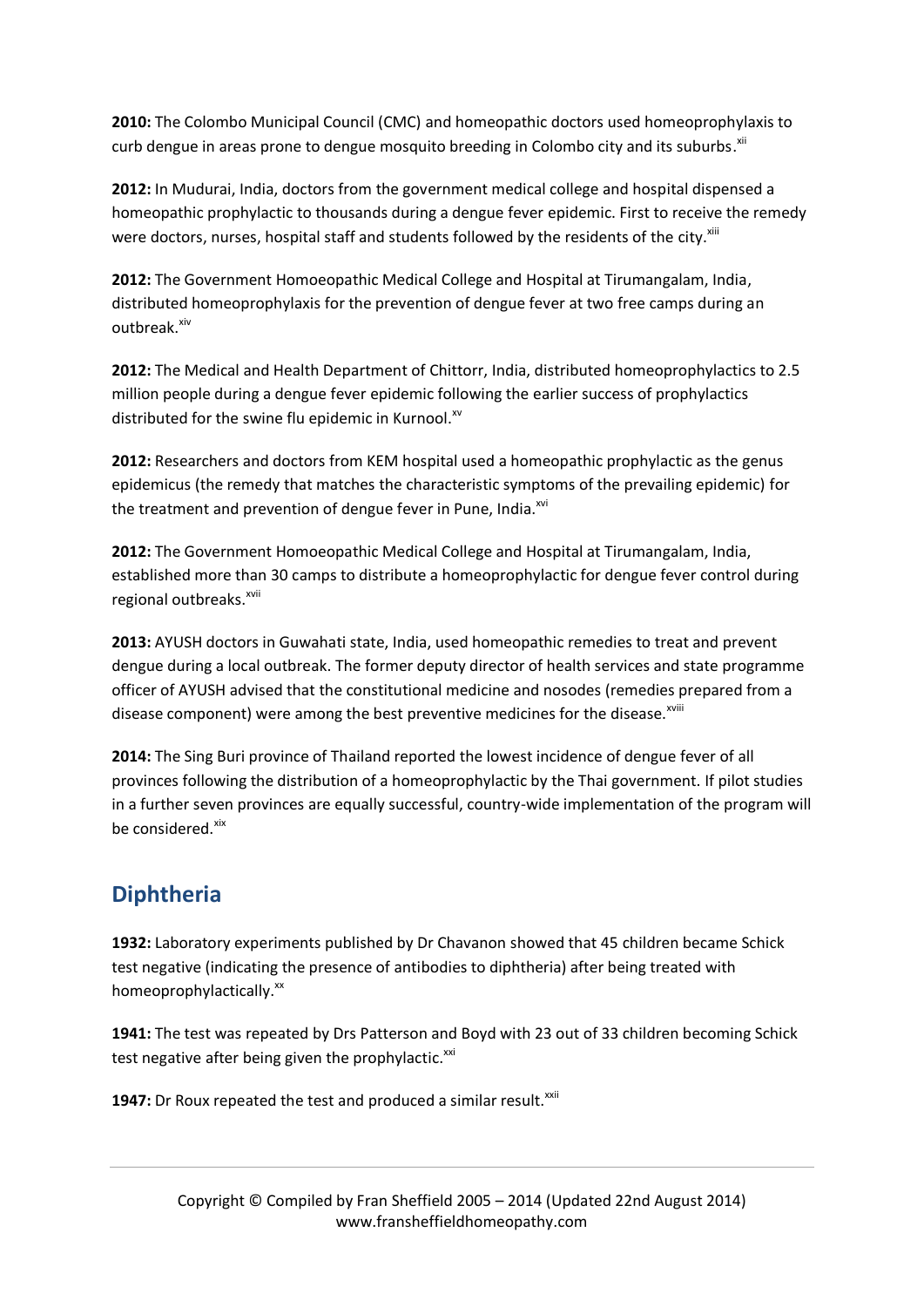**2010:** The Colombo Municipal Council (CMC) and homeopathic doctors used homeoprophylaxis to curb dengue in areas prone to dengue mosquito breeding in Colombo city and its suburbs.<sup>xii</sup>

**2012:** In Mudurai, India, doctors from the government medical college and hospital dispensed a homeopathic prophylactic to thousands during a dengue fever epidemic. First to receive the remedy were doctors, nurses, hospital staff and students followed by the residents of the city.<sup>xiii</sup>

**2012:** The Government Homoeopathic Medical College and Hospital at Tirumangalam, India, distributed homeoprophylaxis for the prevention of dengue fever at two free camps during an outbreak.<sup>xiv</sup>

**2012:** The Medical and Health Department of Chittorr, India, distributed homeoprophylactics to 2.5 million people during a dengue fever epidemic following the earlier success of prophylactics distributed for the swine flu epidemic in Kurnool. $^{x}$ 

**2012:** Researchers and doctors from KEM hospital used a homeopathic prophylactic as the genus epidemicus (the remedy that matches the characteristic symptoms of the prevailing epidemic) for the treatment and prevention of dengue fever in Pune, India.<sup>xvi</sup>

**2012:** The Government Homoeopathic Medical College and Hospital at Tirumangalam, India, established more than 30 camps to distribute a homeoprophylactic for dengue fever control during regional outbreaks.<sup>xvii</sup>

**2013:** AYUSH doctors in Guwahati state, India, used homeopathic remedies to treat and prevent dengue during a local outbreak. The former deputy director of health services and state programme officer of AYUSH advised that the constitutional medicine and nosodes (remedies prepared from a disease component) were among the best preventive medicines for the disease.<sup>xviii</sup>

**2014:** The Sing Buri province of Thailand reported the lowest incidence of dengue fever of all provinces following the distribution of a homeoprophylactic by the Thai government. If pilot studies in a further seven provinces are equally successful, country-wide implementation of the program will be considered.<sup>xix</sup>

# **Diphtheria**

**1932:** Laboratory experiments published by Dr Chavanon showed that 45 children became Schick test negative (indicating the presence of antibodies to diphtheria) after being treated with homeoprophylactically.<sup>xx</sup>

**1941:** The test was repeated by Drs Patterson and Boyd with 23 out of 33 children becoming Schick test negative after being given the prophylactic.<sup>xxi</sup>

**1947:** Dr Roux repeated the test and produced a similar result.<sup>xxii</sup>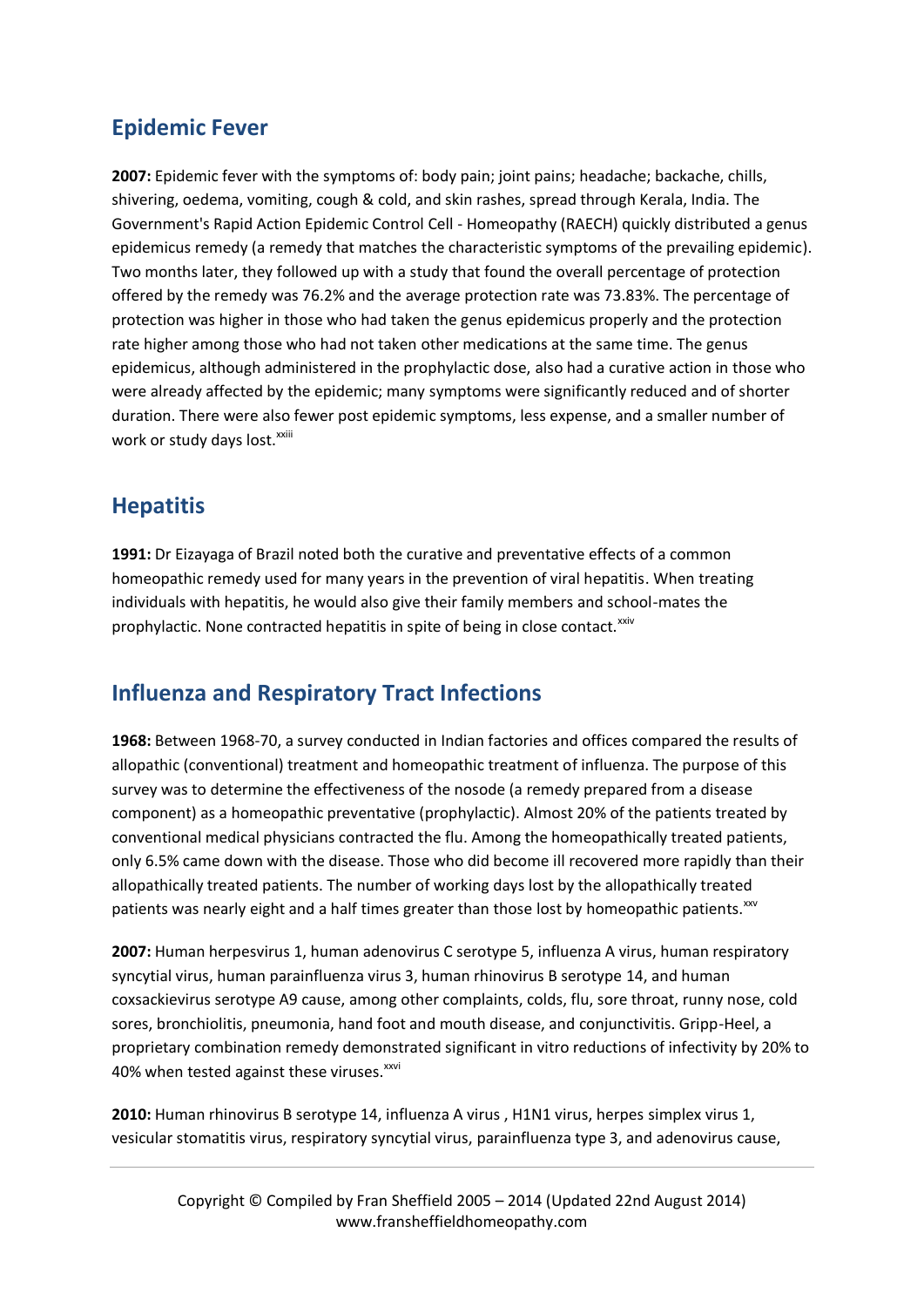## **Epidemic Fever**

**2007:** Epidemic fever with the symptoms of: body pain; joint pains; headache; backache, chills, shivering, oedema, vomiting, cough & cold, and skin rashes, spread through Kerala, India. The Government's Rapid Action Epidemic Control Cell - Homeopathy (RAECH) quickly distributed a genus epidemicus remedy (a remedy that matches the characteristic symptoms of the prevailing epidemic). Two months later, they followed up with a study that found the overall percentage of protection offered by the remedy was 76.2% and the average protection rate was 73.83%. The percentage of protection was higher in those who had taken the genus epidemicus properly and the protection rate higher among those who had not taken other medications at the same time. The genus epidemicus, although administered in the prophylactic dose, also had a curative action in those who were already affected by the epidemic; many symptoms were significantly reduced and of shorter duration. There were also fewer post epidemic symptoms, less expense, and a smaller number of work or study days lost.<sup>xxiii</sup>

#### **Hepatitis**

**1991:** Dr Eizayaga of Brazil noted both the curative and preventative effects of a common homeopathic remedy used for many years in the prevention of viral hepatitis. When treating individuals with hepatitis, he would also give their family members and school-mates the prophylactic. None contracted hepatitis in spite of being in close contact.<sup>xxiv</sup>

#### **Influenza and Respiratory Tract Infections**

**1968:** Between 1968-70, a survey conducted in Indian factories and offices compared the results of allopathic (conventional) treatment and homeopathic treatment of influenza. The purpose of this survey was to determine the effectiveness of the nosode (a remedy prepared from a disease component) as a homeopathic preventative (prophylactic). Almost 20% of the patients treated by conventional medical physicians contracted the flu. Among the homeopathically treated patients, only 6.5% came down with the disease. Those who did become ill recovered more rapidly than their allopathically treated patients. The number of working days lost by the allopathically treated patients was nearly eight and a half times greater than those lost by homeopathic patients. $\frac{x}{x}$ 

**2007:** Human herpesvirus 1, human adenovirus C serotype 5, influenza A virus, human respiratory syncytial virus, human parainfluenza virus 3, human rhinovirus B serotype 14, and human coxsackievirus serotype A9 cause, among other complaints, colds, flu, sore throat, runny nose, cold sores, bronchiolitis, pneumonia, hand foot and mouth disease, and conjunctivitis. Gripp-Heel, a proprietary combination remedy demonstrated significant in vitro reductions of infectivity by 20% to 40% when tested against these viruses.<sup>xxvi</sup>

**2010:** Human rhinovirus B serotype 14, influenza A virus , H1N1 virus, herpes simplex virus 1, vesicular stomatitis virus, respiratory syncytial virus, parainfluenza type 3, and adenovirus cause,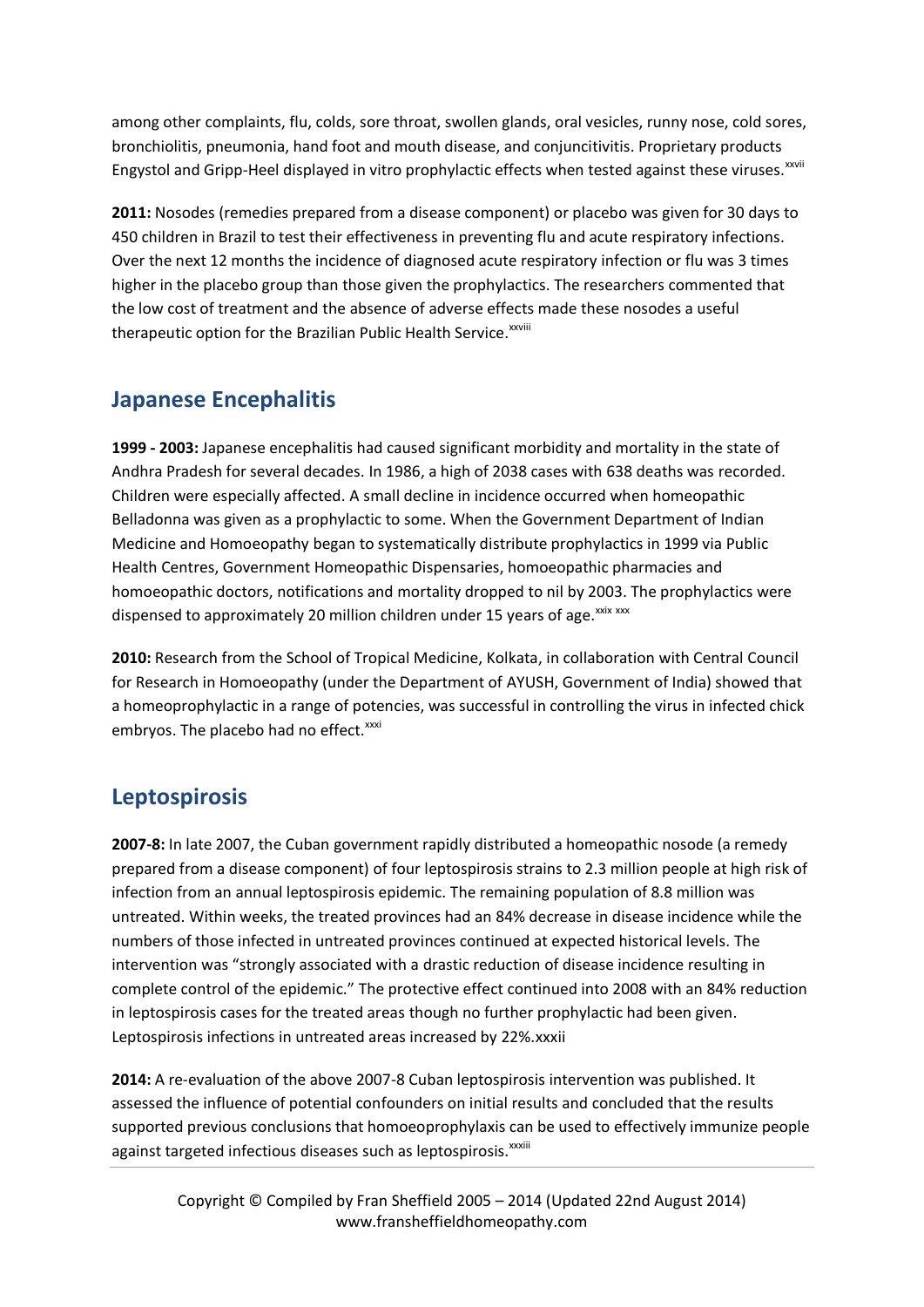among other complaints, flu, colds, sore throat, swollen glands, oral vesicles, runny nose, cold sores, bronchiolitis, pneumonia, hand foot and mouth disease, and conjuncitivitis. Proprietary products Engystol and Gripp-Heel displayed in vitro prophylactic effects when tested against these viruses. XXVIII

**2011:** Nosodes (remedies prepared from a disease component) or placebo was given for 30 days to 450 children in Brazil to test their effectiveness in preventing flu and acute respiratory infections. Over the next 12 months the incidence of diagnosed acute respiratory infection or flu was 3 times higher in the placebo group than those given the prophylactics. The researchers commented that the low cost of treatment and the absence of adverse effects made these nosodes a useful therapeutic option for the Brazilian Public Health Service.<sup>xxviii</sup>

## **Japanese Encephalitis**

**1999 - 2003:** Japanese encephalitis had caused significant morbidity and mortality in the state of Andhra Pradesh for several decades. In 1986, a high of 2038 cases with 638 deaths was recorded. Children were especially affected. A small decline in incidence occurred when homeopathic Belladonna was given as a prophylactic to some. When the Government Department of Indian Medicine and Homoeopathy began to systematically distribute prophylactics in 1999 via Public Health Centres, Government Homeopathic Dispensaries, homoeopathic pharmacies and homoeopathic doctors, notifications and mortality dropped to nil by 2003. The prophylactics were dispensed to approximately 20 million children under 15 years of age. XXIX XXX

**2010:** Research from the School of Tropical Medicine, Kolkata, in collaboration with Central Council for Research in Homoeopathy (under the Department of AYUSH, Government of India) showed that a homeoprophylactic in a range of potencies, was successful in controlling the virus in infected chick embryos. The placebo had no effect.<sup>xxxi</sup>

#### **Leptospirosis**

**2007-8:** In late 2007, the Cuban government rapidly distributed a homeopathic nosode (a remedy prepared from a disease component) of four leptospirosis strains to 2.3 million people at high risk of infection from an annual leptospirosis epidemic. The remaining population of 8.8 million was untreated. Within weeks, the treated provinces had an 84% decrease in disease incidence while the numbers of those infected in untreated provinces continued at expected historical levels. The intervention was "strongly associated with a drastic reduction of disease incidence resulting in complete control of the epidemic." The protective effect continued into 2008 with an 84% reduction in leptospirosis cases for the treated areas though no further prophylactic had been given. Leptospirosis infections in untreated areas increased by 22%.xxxii

**2014:** A re-evaluation of the above 2007-8 Cuban leptospirosis intervention was published. It assessed the influence of potential confounders on initial results and concluded that the results supported previous conclusions that homoeoprophylaxis can be used to effectively immunize people against targeted infectious diseases such as leptospirosis. xxxiii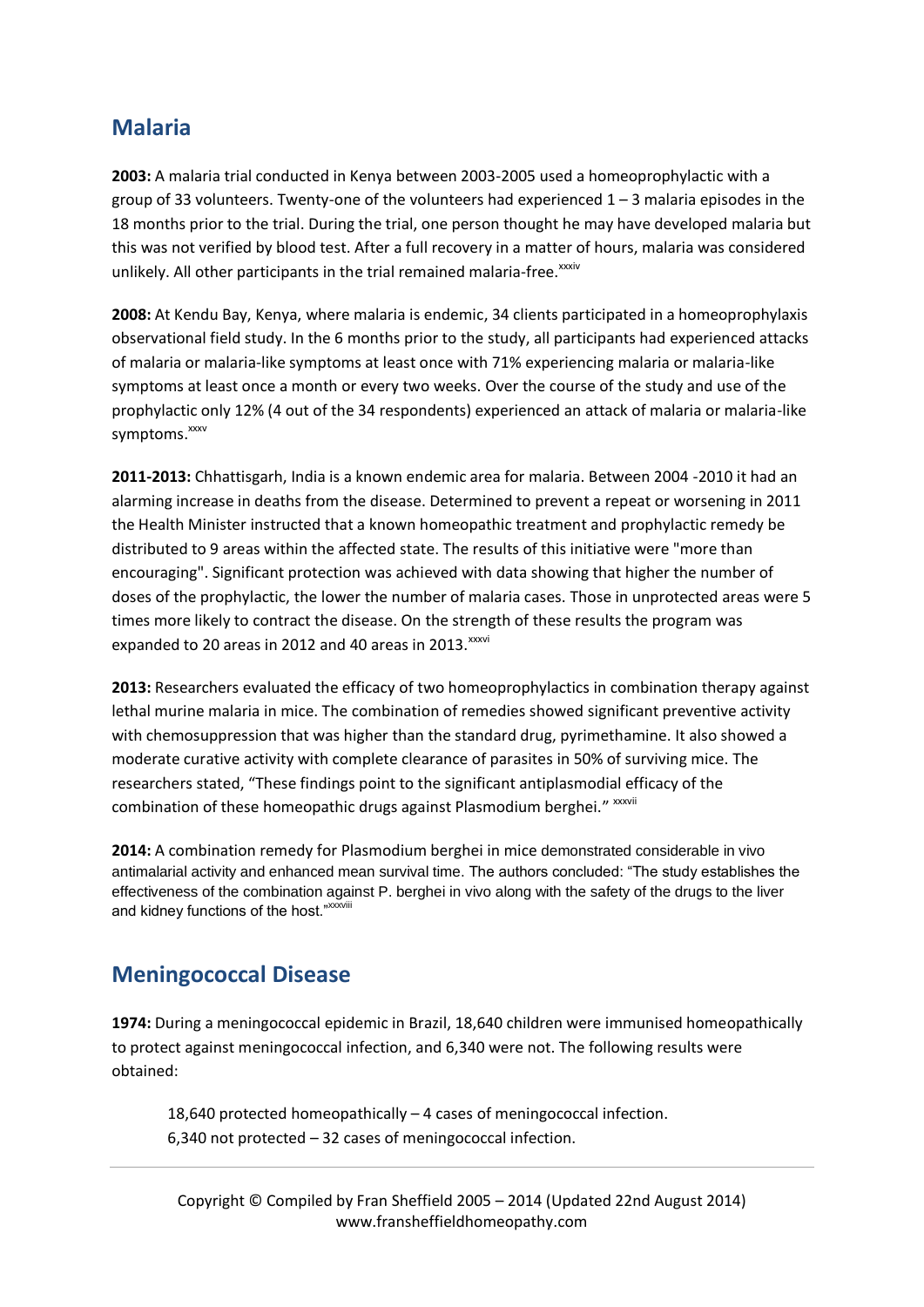#### **Malaria**

**2003:** A malaria trial conducted in Kenya between 2003-2005 used a homeoprophylactic with a group of 33 volunteers. Twenty-one of the volunteers had experienced  $1 - 3$  malaria episodes in the 18 months prior to the trial. During the trial, one person thought he may have developed malaria but this was not verified by blood test. After a full recovery in a matter of hours, malaria was considered unlikely. All other participants in the trial remained malaria-free. xxxiv

**2008:** At Kendu Bay, Kenya, where malaria is endemic, 34 clients participated in a homeoprophylaxis observational field study. In the 6 months prior to the study, all participants had experienced attacks of malaria or malaria-like symptoms at least once with 71% experiencing malaria or malaria-like symptoms at least once a month or every two weeks. Over the course of the study and use of the prophylactic only 12% (4 out of the 34 respondents) experienced an attack of malaria or malaria-like symptoms.<sup>xxxv</sup>

**2011-2013:** Chhattisgarh, India is a known endemic area for malaria. Between 2004 -2010 it had an alarming increase in deaths from the disease. Determined to prevent a repeat or worsening in 2011 the Health Minister instructed that a known homeopathic treatment and prophylactic remedy be distributed to 9 areas within the affected state. The results of this initiative were "more than encouraging". Significant protection was achieved with data showing that higher the number of doses of the prophylactic, the lower the number of malaria cases. Those in unprotected areas were 5 times more likely to contract the disease. On the strength of these results the program was expanded to 20 areas in 2012 and 40 areas in 2013. XXXVi

**2013:** Researchers evaluated the efficacy of two homeoprophylactics in combination therapy against lethal murine malaria in mice. The combination of remedies showed significant preventive activity with chemosuppression that was higher than the standard drug, pyrimethamine. It also showed a moderate curative activity with complete clearance of parasites in 50% of surviving mice. The researchers stated, "These findings point to the significant antiplasmodial efficacy of the combination of these homeopathic drugs against Plasmodium berghei." xxxvii

**2014:** A combination remedy for Plasmodium berghei in mice demonstrated considerable in vivo antimalarial activity and enhanced mean survival time. The authors concluded: "The study establishes the effectiveness of the combination against P. berghei in vivo along with the safety of the drugs to the liver and kidney functions of the host."<sup>xxxviii</sup>

#### **Meningococcal Disease**

**1974:** During a meningococcal epidemic in Brazil, 18,640 children were immunised homeopathically to protect against meningococcal infection, and 6,340 were not. The following results were obtained:

18,640 protected homeopathically – 4 cases of meningococcal infection. 6,340 not protected – 32 cases of meningococcal infection.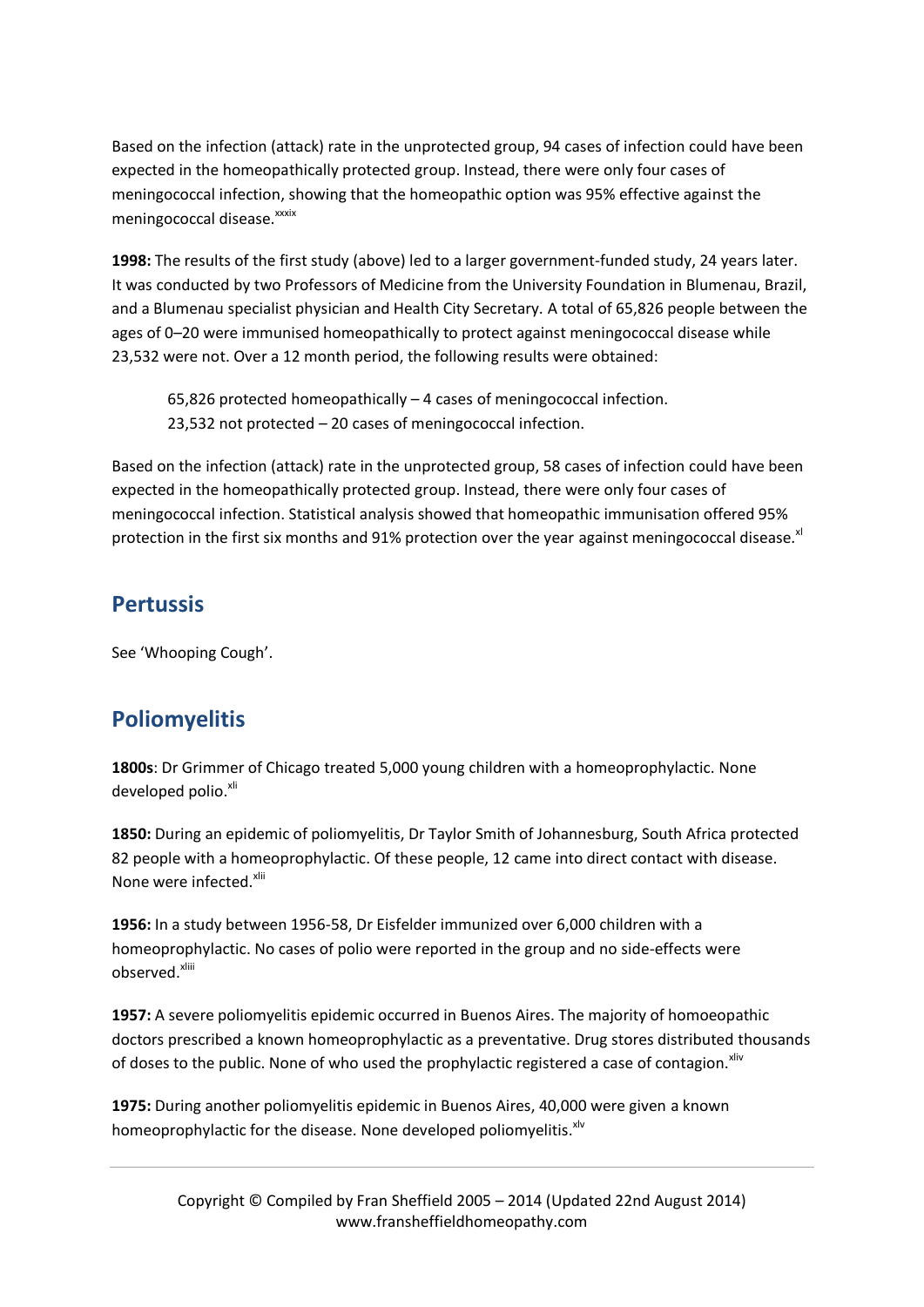Based on the infection (attack) rate in the unprotected group, 94 cases of infection could have been expected in the homeopathically protected group. Instead, there were only four cases of meningococcal infection, showing that the homeopathic option was 95% effective against the meningococcal disease. xxxix

**1998:** The results of the first study (above) led to a larger government-funded study, 24 years later. It was conducted by two Professors of Medicine from the University Foundation in Blumenau, Brazil, and a Blumenau specialist physician and Health City Secretary. A total of 65,826 people between the ages of 0–20 were immunised homeopathically to protect against meningococcal disease while 23,532 were not. Over a 12 month period, the following results were obtained:

65,826 protected homeopathically – 4 cases of meningococcal infection. 23,532 not protected – 20 cases of meningococcal infection.

Based on the infection (attack) rate in the unprotected group, 58 cases of infection could have been expected in the homeopathically protected group. Instead, there were only four cases of meningococcal infection. Statistical analysis showed that homeopathic immunisation offered 95% protection in the first six months and 91% protection over the year against meningococcal disease. $x^{1/2}$ 

## **Pertussis**

See 'Whooping Cough'.

# **Poliomyelitis**

**1800s**: Dr Grimmer of Chicago treated 5,000 young children with a homeoprophylactic. None developed polio.<sup>xli</sup>

**1850:** During an epidemic of poliomyelitis, Dr Taylor Smith of Johannesburg, South Africa protected 82 people with a homeoprophylactic. Of these people, 12 came into direct contact with disease. None were infected.<sup>xlii</sup>

**1956:** In a study between 1956-58, Dr Eisfelder immunized over 6,000 children with a homeoprophylactic. No cases of polio were reported in the group and no side-effects were observed. xliii

**1957:** A severe poliomyelitis epidemic occurred in Buenos Aires. The majority of homoeopathic doctors prescribed a known homeoprophylactic as a preventative. Drug stores distributed thousands of doses to the public. None of who used the prophylactic registered a case of contagion.<sup>Xilv</sup>

**1975:** During another poliomyelitis epidemic in Buenos Aires, 40,000 were given a known homeoprophylactic for the disease. None developed poliomyelitis.<sup>xlv</sup>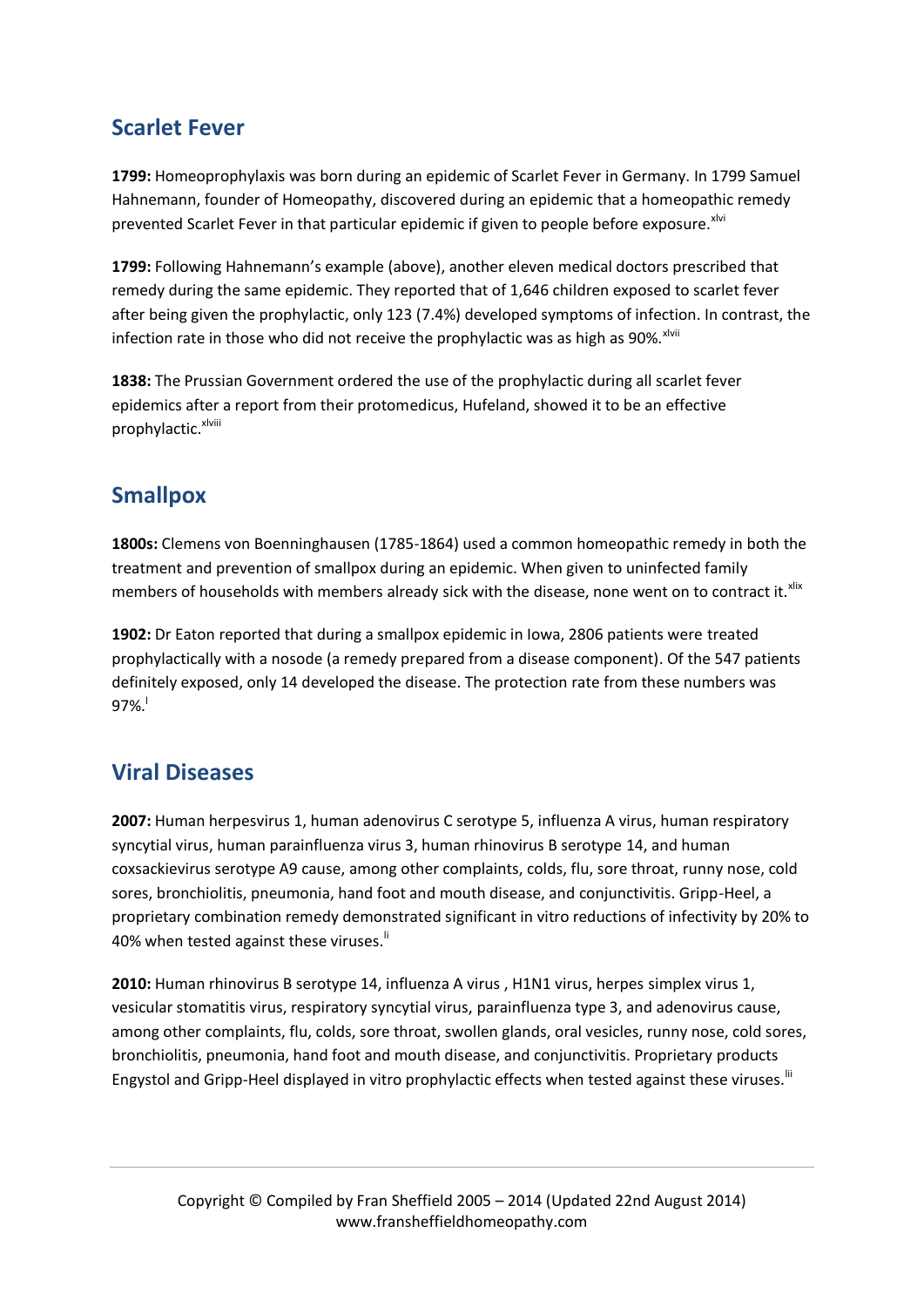## **Scarlet Fever**

**1799:** Homeoprophylaxis was born during an epidemic of Scarlet Fever in Germany. In 1799 Samuel Hahnemann, founder of Homeopathy, discovered during an epidemic that a homeopathic remedy prevented Scarlet Fever in that particular epidemic if given to people before exposure.<sup>xlvi</sup>

**1799:** Following Hahnemann's example (above), another eleven medical doctors prescribed that remedy during the same epidemic. They reported that of 1,646 children exposed to scarlet fever after being given the prophylactic, only 123 (7.4%) developed symptoms of infection. In contrast, the infection rate in those who did not receive the prophylactic was as high as 90%. Xivii

**1838:** The Prussian Government ordered the use of the prophylactic during all scarlet fever epidemics after a report from their protomedicus, Hufeland, showed it to be an effective prophylactic.<sup>xlviii</sup>

# **Smallpox**

**1800s:** Clemens von Boenninghausen (1785-1864) used a common homeopathic remedy in both the treatment and prevention of smallpox during an epidemic. When given to uninfected family members of households with members already sick with the disease, none went on to contract it. xlix

**1902:** Dr Eaton reported that during a smallpox epidemic in Iowa, 2806 patients were treated prophylactically with a nosode (a remedy prepared from a disease component). Of the 547 patients definitely exposed, only 14 developed the disease. The protection rate from these numbers was  $97\%$ .

#### **Viral Diseases**

**2007:** Human herpesvirus 1, human adenovirus C serotype 5, influenza A virus, human respiratory syncytial virus, human parainfluenza virus 3, human rhinovirus B serotype 14, and human coxsackievirus serotype A9 cause, among other complaints, colds, flu, sore throat, runny nose, cold sores, bronchiolitis, pneumonia, hand foot and mouth disease, and conjunctivitis. Gripp-Heel, a proprietary combination remedy demonstrated significant in vitro reductions of infectivity by 20% to 40% when tested against these viruses.<sup>ii</sup>

**2010:** Human rhinovirus B serotype 14, influenza A virus , H1N1 virus, herpes simplex virus 1, vesicular stomatitis virus, respiratory syncytial virus, parainfluenza type 3, and adenovirus cause, among other complaints, flu, colds, sore throat, swollen glands, oral vesicles, runny nose, cold sores, bronchiolitis, pneumonia, hand foot and mouth disease, and conjunctivitis. Proprietary products Engystol and Gripp-Heel displayed in vitro prophylactic effects when tested against these viruses. III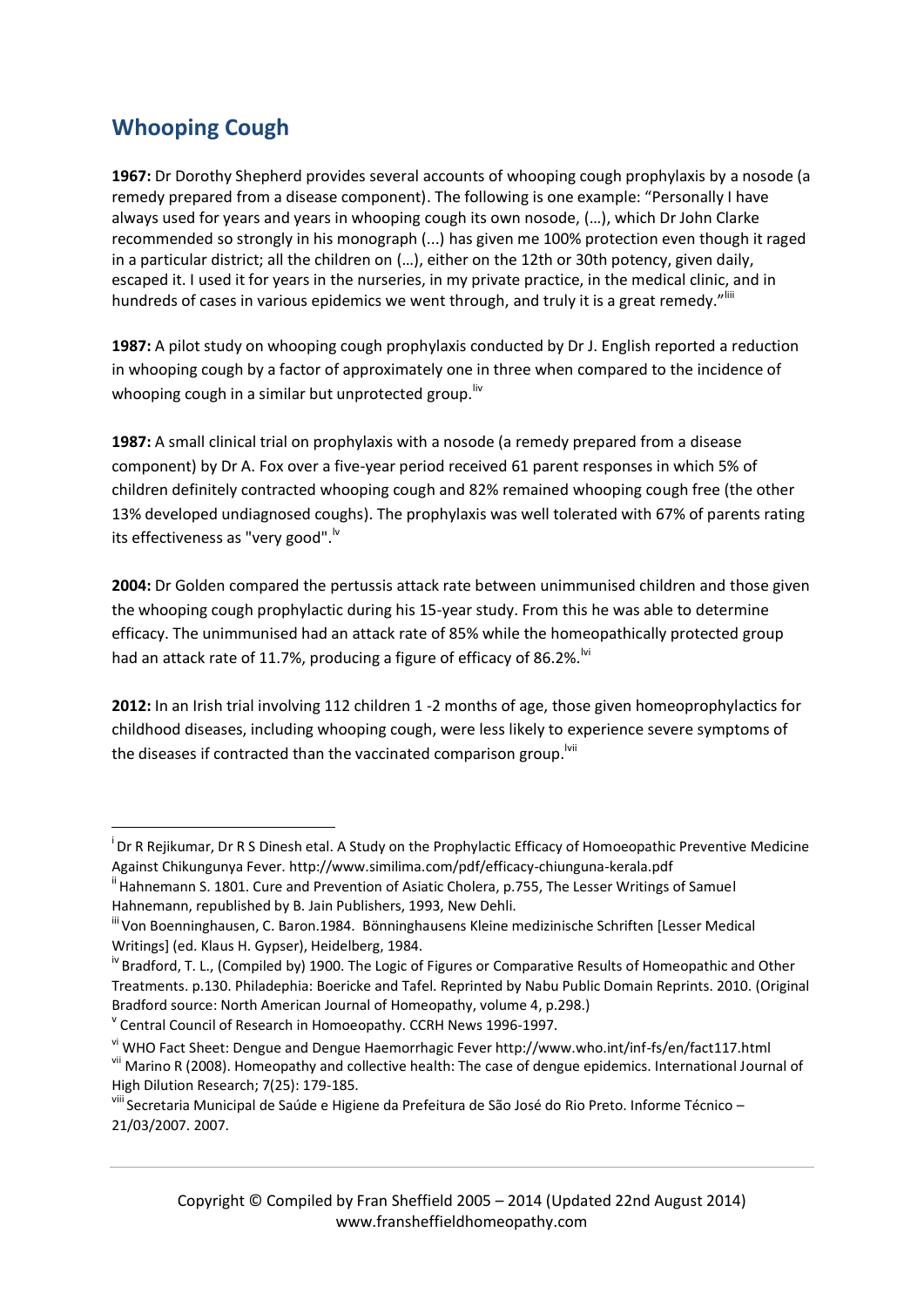# **Whooping Cough**

1

**1967:** Dr Dorothy Shepherd provides several accounts of whooping cough prophylaxis by a nosode (a remedy prepared from a disease component). The following is one example: "Personally I have always used for years and years in whooping cough its own nosode, (…), which Dr John Clarke recommended so strongly in his monograph (...) has given me 100% protection even though it raged in a particular district; all the children on (…), either on the 12th or 30th potency, given daily, escaped it. I used it for years in the nurseries, in my private practice, in the medical clinic, and in hundreds of cases in various epidemics we went through, and truly it is a great remedy."<sup>||||</sup>

**1987:** A pilot study on whooping cough prophylaxis conducted by Dr J. English reported a reduction in whooping cough by a factor of approximately one in three when compared to the incidence of whooping cough in a similar but unprotected group. Iv

**1987:** A small clinical trial on prophylaxis with a nosode (a remedy prepared from a disease component) by Dr A. Fox over a five-year period received 61 parent responses in which 5% of children definitely contracted whooping cough and 82% remained whooping cough free (the other 13% developed undiagnosed coughs). The prophylaxis was well tolerated with 67% of parents rating its effectiveness as "very good".<sup>1v</sup>

**2004:** Dr Golden compared the pertussis attack rate between unimmunised children and those given the whooping cough prophylactic during his 15-year study. From this he was able to determine efficacy. The unimmunised had an attack rate of 85% while the homeopathically protected group had an attack rate of 11.7%, producing a figure of efficacy of 86.2%.<sup>Ivi</sup>

**2012:** In an Irish trial involving 112 children 1 -2 months of age, those given homeoprophylactics for childhood diseases, including whooping cough, were less likely to experience severe symptoms of the diseases if contracted than the vaccinated comparison group.<sup>Ivii</sup>

v Central Council of Research in Homoeopathy. CCRH News 1996-1997.

i Dr R Rejikumar, Dr R S Dinesh etal. A Study on the Prophylactic Efficacy of Homoeopathic Preventive Medicine Against Chikungunya Fever. http://www.similima.com/pdf/efficacy-chiunguna-kerala.pdf

<sup>&</sup>lt;sup>"</sup> Hahnemann S. 1801. Cure and Prevention of Asiatic Cholera, p.755, The Lesser Writings of Samuel Hahnemann, republished by B. Jain Publishers, 1993, New Dehli.

iii Von Boenninghausen, C. Baron.1984. Bönninghausens Kleine medizinische Schriften [Lesser Medical Writings] (ed. Klaus H. Gypser), Heidelberg, 1984.

<sup>&</sup>lt;sup>iv</sup> Bradford, T. L., (Compiled by) 1900. The Logic of Figures or Comparative Results of Homeopathic and Other Treatments. p.130. Philadephia: Boericke and Tafel. Reprinted by Nabu Public Domain Reprints. 2010. (Original Bradford source: North American Journal of Homeopathy, volume 4, p.298.)

vi WHO Fact Sheet: Dengue and Dengue Haemorrhagic Fever http://www.who.int/inf-fs/en/fact117.html

vii Marino R (2008). Homeopathy and collective health: The case of dengue epidemics. International Journal of High Dilution Research; 7(25): 179-185.

viii Secretaria Municipal de Saúde e Higiene da Prefeitura de São José do Rio Preto. Informe Técnico – 21/03/2007. 2007.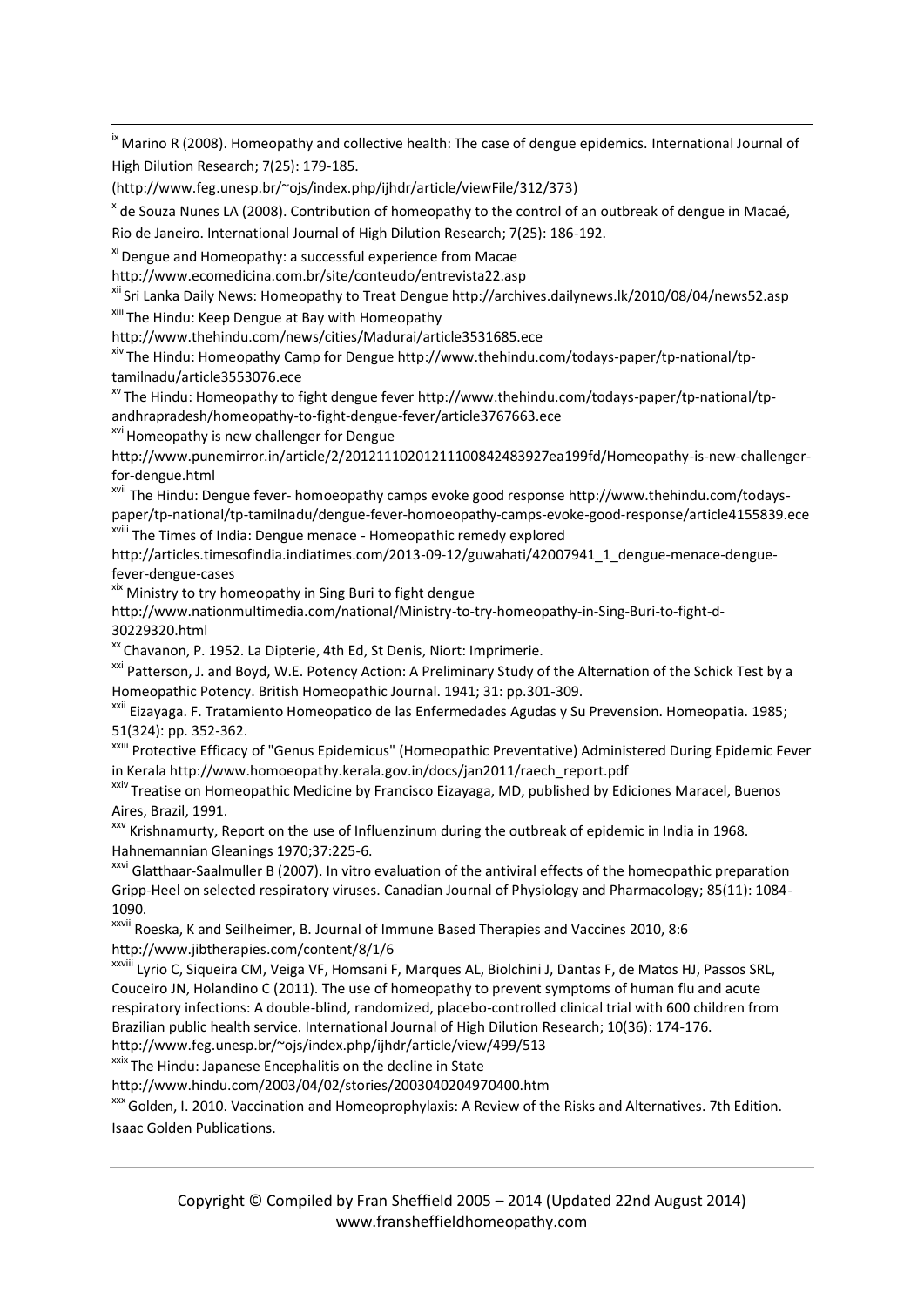<sup>ix</sup> Marino R (2008). Homeopathy and collective health: The case of dengue epidemics. International Journal of High Dilution Research; 7(25): 179-185.

[\(http://www.feg.unesp.br/~ojs/index.php/ijhdr/article/viewFile/312/373\)](http://www.feg.unesp.br/~ojs/index.php/ijhdr/article/viewFile/312/373)

<sup>x</sup> de Souza Nunes LA (2008). Contribution of homeopathy to the control of an outbreak of dengue in Macaé, Rio de Janeiro. International Journal of High Dilution Research; 7(25): 186-192.

xi Dengue and Homeopathy: a successful experience from Macae

http://www.ecomedicina.com.br/site/conteudo/entrevista22.asp

xii Sri Lanka Daily News: Homeopathy to Treat Dengue http://archives.dailynews.lk/2010/08/04/news52.asp

xiii The Hindu: Keep Dengue at Bay with Homeopathy

http://www.thehindu.com/news/cities/Madurai/article3531685.ece

xiv The Hindu: Homeopathy Camp for Dengue http://www.thehindu.com/todays-paper/tp-national/tptamilnadu/article3553076.ece

 $\frac{x}{x}$  The Hindu: Homeopathy to fight dengue fever http://www.thehindu.com/todays-paper/tp-national/tpandhrapradesh/homeopathy-to-fight-dengue-fever/article3767663.ece

<sup>xvi</sup> Homeopathy is new challenger for Dengue

1

http://www.punemirror.in/article/2/20121110201211100842483927ea199fd/Homeopathy-is-new-challengerfor-dengue.html

xvii The Hindu: Dengue fever- homoeopathy camps evoke good response http://www.thehindu.com/todayspaper/tp-national/tp-tamilnadu/dengue-fever-homoeopathy-camps-evoke-good-response/article4155839.ece xviii The Times of India: Dengue menace - Homeopathic remedy explored

http://articles.timesofindia.indiatimes.com/2013-09-12/guwahati/42007941\_1\_dengue-menace-denguefever-dengue-cases

xix Ministry to try homeopathy in Sing Buri to fight dengue

http://www.nationmultimedia.com/national/Ministry-to-try-homeopathy-in-Sing-Buri-to-fight-d-30229320.html

<sup>xx</sup> Chavanon, P. 1952. La Dipterie, 4th Ed, St Denis, Niort: Imprimerie.

<sup>xxi</sup> Patterson, J. and Boyd, W.E. Potency Action: A Preliminary Study of the Alternation of the Schick Test by a Homeopathic Potency. British Homeopathic Journal. 1941; 31: pp.301-309.

xxii Eizayaga. F. Tratamiento Homeopatico de las Enfermedades Agudas y Su Prevension. Homeopatia. 1985; 51(324): pp. 352-362.

xxiii Protective Efficacy of "Genus Epidemicus" (Homeopathic Preventative) Administered During Epidemic Fever in Kerala http://www.homoeopathy.kerala.gov.in/docs/jan2011/raech\_report.pdf

xxiv Treatise on Homeopathic Medicine by Francisco Eizayaga, MD, published by Ediciones Maracel, Buenos Aires, Brazil, 1991.

xxv Krishnamurty, Report on the use of Influenzinum during the outbreak of epidemic in India in 1968. Hahnemannian Gleanings 1970;37:225-6.

<sup>xxvi</sup> Glatthaar-Saalmuller B (2007). In vitro evaluation of the antiviral effects of the homeopathic preparation Gripp-Heel on selected respiratory viruses. Canadian Journal of Physiology and Pharmacology; 85(11): 1084- 1090.

xxvii Roeska, K and Seilheimer, B. Journal of Immune Based Therapies and Vaccines 2010, 8:6 <http://www.jibtherapies.com/content/8/1/6>

xxviii Lyrio C, Siqueira CM, Veiga VF, Homsani F, Marques AL, Biolchini J, Dantas F, de Matos HJ, Passos SRL, Couceiro JN, Holandino C (2011). The use of homeopathy to prevent symptoms of human flu and acute respiratory infections: A double-blind, randomized, placebo-controlled clinical trial with 600 children from Brazilian public health service. International Journal of High Dilution Research; 10(36): 174-176. <http://www.feg.unesp.br/~ojs/index.php/ijhdr/article/view/499/513>

xxix The Hindu: Japanese Encephalitis on the decline in State

http://www.hindu.com/2003/04/02/stories/2003040204970400.htm

xxx Golden, I. 2010. Vaccination and Homeoprophylaxis: A Review of the Risks and Alternatives. 7th Edition. Isaac Golden Publications.

Copyright © Compiled by Fran Sheffield 2005 – 2014 (Updated 22nd August 2014) www.fransheffieldhomeopathy.com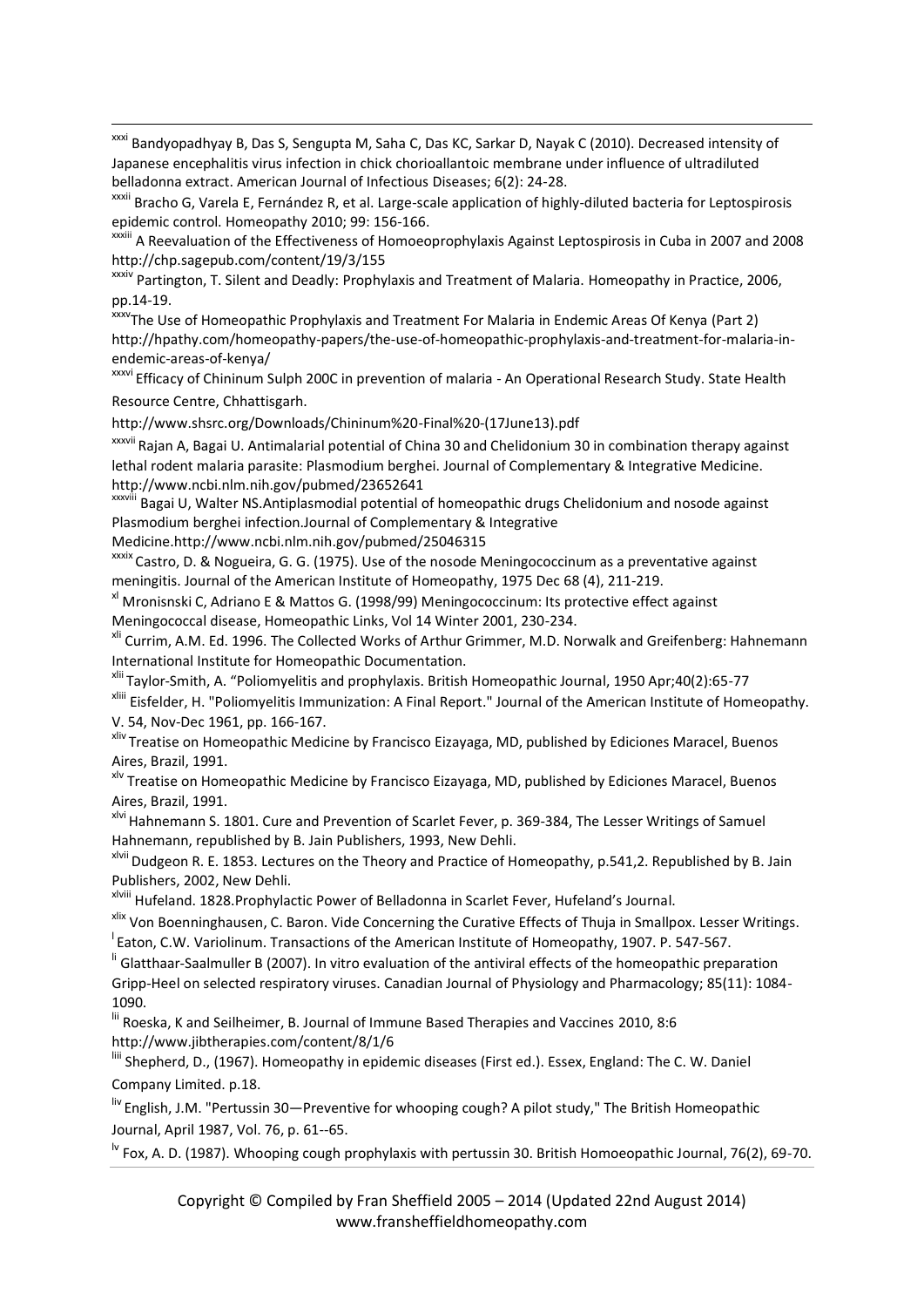xxxi Bandyopadhyay B, Das S, Sengupta M, Saha C, Das KC, Sarkar D, Nayak C (2010). Decreased intensity of Japanese encephalitis virus infection in chick chorioallantoic membrane under influence of ultradiluted belladonna extract. American Journal of Infectious Diseases; 6(2): 24-28.

xxxii Bracho G, Varela E, Fernández R, et al. Large-scale application of highly-diluted bacteria for Leptospirosis epidemic control. Homeopathy 2010; 99: 156-166.

xxxiii A Reevaluation of the Effectiveness of Homoeoprophylaxis Against Leptospirosis in Cuba in 2007 and 2008 http://chp.sagepub.com/content/19/3/155

xxxiv Partington, T. Silent and Deadly: Prophylaxis and Treatment of Malaria. Homeopathy in Practice, 2006, pp.14-19.

xxxvThe Use of Homeopathic Prophylaxis and Treatment For Malaria in Endemic Areas Of Kenya (Part 2) [http://hpathy.com/homeopathy-papers/the-use-of-homeopathic-prophylaxis-and-treatment-for-malaria-in](http://hpathy.com/homeopathy-papers/the-use-of-homeopathic-prophylaxis-and-treatment-for-malaria-in-endemic-areas-of-kenya/)[endemic-areas-of-kenya/](http://hpathy.com/homeopathy-papers/the-use-of-homeopathic-prophylaxis-and-treatment-for-malaria-in-endemic-areas-of-kenya/)

xxxvi Efficacy of Chininum Sulph 200C in prevention of malaria - An Operational Research Study. State Health Resource Centre, Chhattisgarh.

http://www.shsrc.org/Downloads/Chininum%20-Final%20-(17June13).pdf

xxxvii Rajan A, Bagai U. Antimalarial potential of China 30 and Chelidonium 30 in combination therapy against lethal rodent malaria parasite: Plasmodium berghei. Journal of Complementary & Integrative Medicine. http://www.ncbi.nlm.nih.gov/pubmed/23652641

xxxviii Bagai U, Walter NS.Antiplasmodial potential of homeopathic drugs Chelidonium and nosode against Plasmodium berghei infection.Journal of Complementary & Integrative

Medicine.http://www.ncbi.nlm.nih.gov/pubmed/25046315

1

xxxix Castro, D. & Nogueira, G. G. (1975). Use of the nosode Meningococcinum as a preventative against meningitis. Journal of the American Institute of Homeopathy, 1975 Dec 68 (4), 211-219.

xl Mronisnski C, Adriano E & Mattos G. (1998/99) Meningococcinum: Its protective effect against Meningococcal disease, Homeopathic Links, Vol 14 Winter 2001, 230-234.

<sup>xli</sup> Currim, A.M. Ed. 1996. The Collected Works of Arthur Grimmer, M.D. Norwalk and Greifenberg: Hahnemann International Institute for Homeopathic Documentation.

xlii Taylor-Smith, A. "Poliomyelitis and prophylaxis. British Homeopathic Journal, 1950 Apr;40(2):65-77

xliii Eisfelder, H. "Poliomyelitis Immunization: A Final Report." Journal of the American Institute of Homeopathy. V. 54, Nov-Dec 1961, pp. 166-167.

xliv Treatise on Homeopathic Medicine by Francisco Eizayaga, MD, published by Ediciones Maracel, Buenos Aires, Brazil, 1991.

xlv Treatise on Homeopathic Medicine by Francisco Eizayaga, MD, published by Ediciones Maracel, Buenos Aires, Brazil, 1991.

xlvi Hahnemann S. 1801. Cure and Prevention of Scarlet Fever, p. 369-384, The Lesser Writings of Samuel Hahnemann, republished by B. Jain Publishers, 1993, New Dehli.

xlvii Dudgeon R. E. 1853. Lectures on the Theory and Practice of Homeopathy, p.541,2. Republished by B. Jain Publishers, 2002, New Dehli.

xlviii Hufeland. 1828.Prophylactic Power of Belladonna in Scarlet Fever, Hufeland's Journal.

xlix Von Boenninghausen, C. Baron. Vide Concerning the Curative Effects of Thuja in Smallpox. Lesser Writings. <sup>I</sup> Eaton, C.W. Variolinum. Transactions of the American Institute of Homeopathy, 1907. P. 547-567.

<sup>li</sup> Glatthaar-Saalmuller B (2007). In vitro evaluation of the antiviral effects of the homeopathic preparation Gripp-Heel on selected respiratory viruses. Canadian Journal of Physiology and Pharmacology; 85(11): 1084- 1090.

lii Roeska, K and Seilheimer, B. Journal of Immune Based Therapies and Vaccines 2010, 8:6 <http://www.jibtherapies.com/content/8/1/6>

liii Shepherd, D., (1967). Homeopathy in epidemic diseases (First ed.). Essex, England: The C. W. Daniel Company Limited. p.18.

liv English, J.M. "Pertussin 30—Preventive for whooping cough? A pilot study," The British Homeopathic Journal, April 1987, Vol. 76, p. 61--65.

 $\frac{1}{10}$  Fox, A. D. (1987). Whooping cough prophylaxis with pertussin 30. British Homoeopathic Journal, 76(2), 69-70.

Copyright © Compiled by Fran Sheffield 2005 – 2014 (Updated 22nd August 2014) www.fransheffieldhomeopathy.com